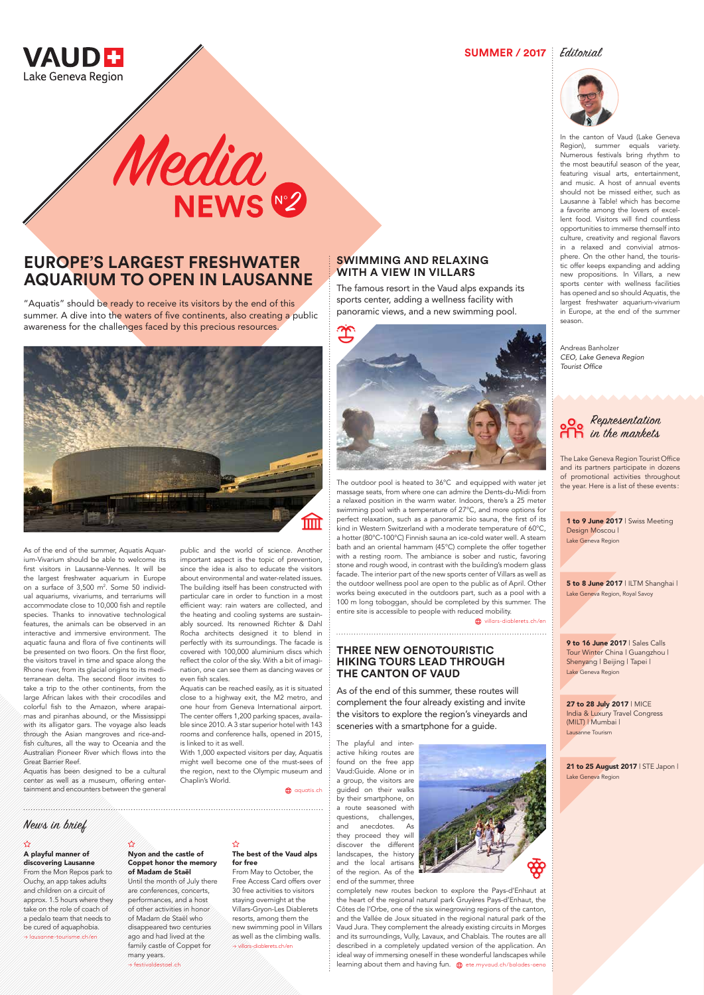## **SWIMMING AND RELAXING WITH A VIEW IN VILLARS**

The famous resort in the Vaud alps expands its sports center, adding a wellness facility with panoramic views, and a new swimming pool.



The outdoor pool is heated to 36°C and equipped with water jet massage seats, from where one can admire the Dents-du-Midi from a relaxed position in the warm water. Indoors, there's a 25 meter swimming pool with a temperature of 27°C, and more options for perfect relaxation, such as a panoramic bio sauna, the first of its kind in Western Switzerland with a moderate temperature of 60°C, a hotter (80°C-100°C) Finnish sauna an ice-cold water well. A steam bath and an oriental hammam (45°C) complete the offer together with a resting room. The ambiance is sober and rustic, favoring stone and rough wood, in contrast with the building's modern glass facade. The interior part of the new sports center of Villars as well as the outdoor wellness pool are open to the public as of April. Other works being executed in the outdoors part, such as a pool with a 100 m long toboggan, should be completed by this summer. The entire site is accessible to people with reduced mobility.

willars-diablerets.ch/en

"Aquatis" should be ready to receive its visitors by the end of this summer. A dive into the waters of five continents, also creating a public awareness for the challenges faced by this precious resources.



# **EUROPE'S LARGEST FRESHWATER AQUARIUM TO OPEN IN LAUSANNE**

As of the end of the summer, Aquatis Aquarium-Vivarium should be able to welcome its first visitors in Lausanne-Vennes. It will be the largest freshwater aquarium in Europe on a surface of 3,500 m<sup>2</sup>. Some 50 individual aquariums, vivariums, and terrariums will accommodate close to 10,000 fish and reptile species. Thanks to innovative technological features, the animals can be observed in an interactive and immersive environment. The aquatic fauna and flora of five continents will be presented on two floors. On the first floor, the visitors travel in time and space along the Rhone river, from its glacial origins to its mediterranean delta. The second floor invites to take a trip to the other continents, from the large African lakes with their crocodiles and colorful fish to the Amazon, where arapaimas and piranhas abound, or the Mississippi with its alligator gars. The voyage also leads through the Asian mangroves and rice-andfish cultures, all the way to Oceania and the Australian Pioneer River which flows into the Great Barrier Reef.

Aquatis has been designed to be a cultural center as well as a museum, offering entertainment and encounters between the general

> completely new routes beckon to explore the Pays-d'Enhaut at the heart of the regional natural park Gruyères Pays-d'Enhaut, the Côtes de l'Orbe, one of the six winegrowing regions of the canton, and the Vallée de Joux situated in the regional natural park of the Vaud Jura. They complement the already existing circuits in Morges and its surroundings, Vully, Lavaux, and Chablais. The routes are all described in a completely updated version of the application. An ideal way of immersing oneself in these wonderful landscapes while learning about them and having fun.  $\bigoplus$  ete.myvaud.ch/balades-oeno



public and the world of science. Another important aspect is the topic of prevention, since the idea is also to educate the visitors about environmental and water-related issues. The building itself has been constructed with particular care in order to function in a most efficient way: rain waters are collected, and the heating and cooling systems are sustainably sourced. Its renowned Richter & Dahl Rocha architects designed it to blend in perfectly with its surroundings. The facade is covered with 100,000 aluminium discs which reflect the color of the sky. With a bit of imagination, one can see them as dancing waves or even fish scales.

Aquatis can be reached easily, as it is situated close to a highway exit, the M2 metro, and one hour from Geneva International airport. The center offers 1,200 parking spaces, available since 2010. A 3 star superior hotel with 143 rooms and conference halls, opened in 2015, is linked to it as well.

1 to 9 June 2017 | Swiss Meeting Design Moscou | Lake Geneva Region

With 1,000 expected visitors per day, Aquatis

21 to 25 August 2017 | STE Japon | Lake Geneva Region

5 to 8 June 2017 | ILTM Shanghai | Lake Geneva Region, Royal Savoy

Chaplin's World.

In the canton of Vaud (Lake Geneva Region), summer equals variety. Numerous festivals bring rhythm to the most beautiful season of the year, featuring visual arts, entertainment, and music. A host of annual events should not be missed either, such as Lausanne à Table! which has become a favorite among the lovers of excellent food. Visitors will find countless opportunities to immerse themself into culture, creativity and regional flavors in a relaxed and convivial atmosphere. On the other hand, the touristic offer keeps expanding and adding new propositions. In Villars, a new sports center with wellness facilities has opened and so should Aquatis, the largest freshwater aquarium-vivarium in Europe, at the end of the summer season.

might well become one of the must-sees of the region, next to the Olympic museum and **a** quatis.ch The playful and interactive hiking routes are found on the free app Vaud:Guide. Alone or in a group, the visitors are guided on their walks by their smartphone, on a route seasoned with questions, challenges, and anecdotes. As they proceed they will discover the different landscapes, the history and the local artisans of the region. As of the end of the summer, three

Andreas Banholzer *CEO, Lake Geneva Region*  Tourist Office



## **SUMMER / 2017** Editorial



## **THREE NEW OENOTOURISTIC HIKING TOURS LEAD THROUGH THE CANTON OF VAUD**

As of the end of this summer, these routes will complement the four already existing and invite the visitors to explore the region's vineyards and sceneries with a smartphone for a guide.

## Representation in the markets

The Lake Geneva Region Tourist Office and its partners participate in dozens of promotional activities throughout the year. Here is a list of these events :

## A playful manner of discovering Lausanne

From the Mon Repos park to Ouchy, an app takes adults and children on a circuit of approx. 1.5 hours where they take on the role of coach of a pedalo team that needs to be cured of aquaphobia. → lausanne-tourisme.ch/en

Nyon and the castle of Coppet honor the memory of Madam de Staël Until the month of July there are conferences, concerts, performances, and a host of other activities in honor of Madam de Staël who disappeared two centuries ago and had lived at the family castle of Coppet for many years. → festivaldestael.ch

## ☆

### The best of the Vaud alps for free

From May to October, the Free Access Card offers over 30 free activities to visitors staying overnight at the Villars-Gryon-Les Diablerets resorts, among them the new swimming pool in Villars as well as the climbing walls. → villars-diablerets.ch/en

## News in brief

9 to 16 June 2017 | Sales Calls Tour Winter China | Guangzhou | Shenyang | Beijing | Tapei | Lake Geneva Region

27 to 28 July 2017 | MICE India & Luxury Travel Congress (MILT) | Mumbai | Lausanne Tourism

# Media **NEWS Nº2**